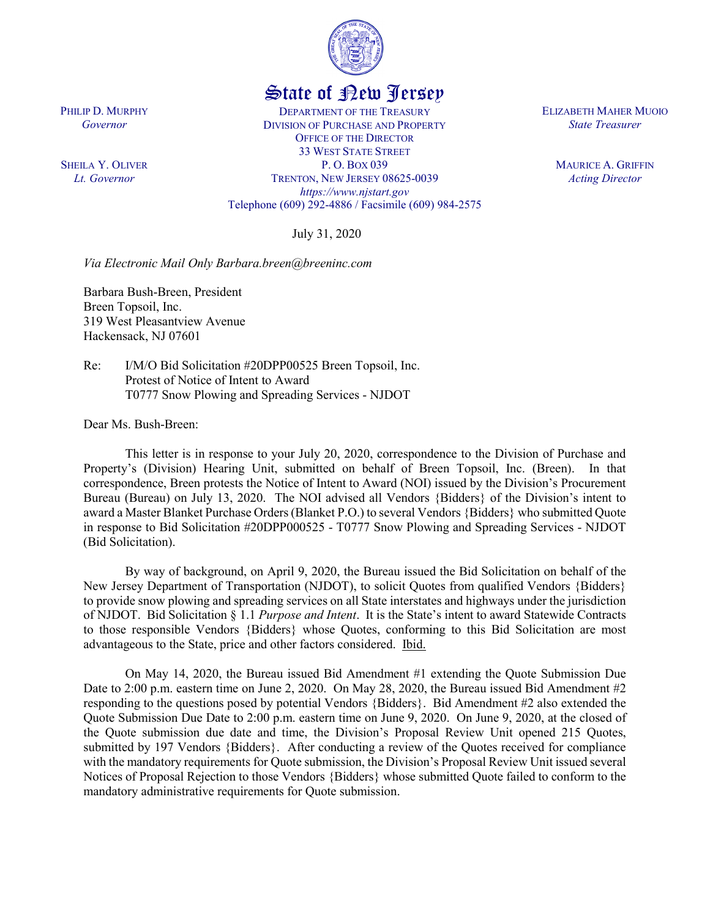

# State of New Jersey

DEPARTMENT OF THE TREASURY DIVISION OF PURCHASE AND PROPERTY OFFICE OF THE DIRECTOR 33 WEST STATE STREET P. O. BOX 039 TRENTON, NEW JERSEY 08625-0039 *https://www.njstart.gov* Telephone (609) 292-4886 / Facsimile (609) 984-2575

July 31, 2020

*Via Electronic Mail Only Barbara.breen@breeninc.com*

Barbara Bush-Breen, President Breen Topsoil, Inc. 319 West Pleasantview Avenue Hackensack, NJ 07601

Re: I/M/O Bid Solicitation #20DPP00525 Breen Topsoil, Inc. Protest of Notice of Intent to Award T0777 Snow Plowing and Spreading Services - NJDOT

Dear Ms. Bush-Breen:

This letter is in response to your July 20, 2020, correspondence to the Division of Purchase and Property's (Division) Hearing Unit, submitted on behalf of Breen Topsoil, Inc. (Breen). In that correspondence, Breen protests the Notice of Intent to Award (NOI) issued by the Division's Procurement Bureau (Bureau) on July 13, 2020. The NOI advised all Vendors {Bidders} of the Division's intent to award a Master Blanket Purchase Orders(Blanket P.O.) to several Vendors {Bidders} who submitted Quote in response to Bid Solicitation #20DPP000525 - T0777 Snow Plowing and Spreading Services - NJDOT (Bid Solicitation).

By way of background, on April 9, 2020, the Bureau issued the Bid Solicitation on behalf of the New Jersey Department of Transportation (NJDOT), to solicit Quotes from qualified Vendors {Bidders} to provide snow plowing and spreading services on all State interstates and highways under the jurisdiction of NJDOT. Bid Solicitation § 1.1 *Purpose and Intent*. It is the State's intent to award Statewide Contracts to those responsible Vendors {Bidders} whose Quotes, conforming to this Bid Solicitation are most advantageous to the State, price and other factors considered. Ibid.

On May 14, 2020, the Bureau issued Bid Amendment #1 extending the Quote Submission Due Date to 2:00 p.m. eastern time on June 2, 2020. On May 28, 2020, the Bureau issued Bid Amendment #2 responding to the questions posed by potential Vendors {Bidders}. Bid Amendment #2 also extended the Quote Submission Due Date to 2:00 p.m. eastern time on June 9, 2020. On June 9, 2020, at the closed of the Quote submission due date and time, the Division's Proposal Review Unit opened 215 Quotes, submitted by 197 Vendors {Bidders}. After conducting a review of the Quotes received for compliance with the mandatory requirements for Quote submission, the Division's Proposal Review Unit issued several Notices of Proposal Rejection to those Vendors {Bidders} whose submitted Quote failed to conform to the mandatory administrative requirements for Quote submission.

ELIZABETH MAHER MUOIO *State Treasurer*

> MAURICE A. GRIFFIN *Acting Director*

PHILIP D. MURPHY

*Governor*

SHEILA Y. OLIVER *Lt. Governor*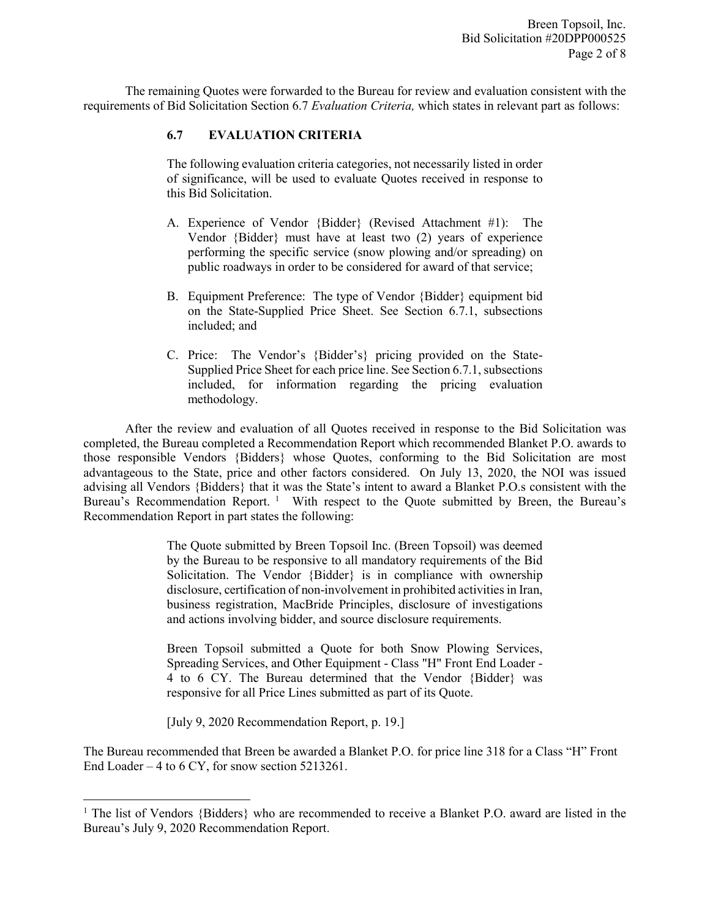The remaining Quotes were forwarded to the Bureau for review and evaluation consistent with the requirements of Bid Solicitation Section 6.7 *Evaluation Criteria,* which states in relevant part as follows:

# **6.7 EVALUATION CRITERIA**

The following evaluation criteria categories, not necessarily listed in order of significance, will be used to evaluate Quotes received in response to this Bid Solicitation.

- A. Experience of Vendor {Bidder} (Revised Attachment #1): The Vendor {Bidder} must have at least two (2) years of experience performing the specific service (snow plowing and/or spreading) on public roadways in order to be considered for award of that service;
- B. Equipment Preference: The type of Vendor {Bidder} equipment bid on the State-Supplied Price Sheet. See Section 6.7.1, subsections included; and
- C. Price: The Vendor's {Bidder's} pricing provided on the State-Supplied Price Sheet for each price line. See Section 6.7.1, subsections included, for information regarding the pricing evaluation methodology.

After the review and evaluation of all Quotes received in response to the Bid Solicitation was completed, the Bureau completed a Recommendation Report which recommended Blanket P.O. awards to those responsible Vendors {Bidders} whose Quotes, conforming to the Bid Solicitation are most advantageous to the State, price and other factors considered. On July 13, 2020, the NOI was issued advising all Vendors {Bidders} that it was the State's intent to award a Blanket P.O.s consistent with the Bureau's Recommendation Report.<sup>[1](#page-1-0)</sup> With respect to the Quote submitted by Breen, the Bureau's Recommendation Report in part states the following:

> The Quote submitted by Breen Topsoil Inc. (Breen Topsoil) was deemed by the Bureau to be responsive to all mandatory requirements of the Bid Solicitation. The Vendor {Bidder} is in compliance with ownership disclosure, certification of non-involvement in prohibited activities in Iran, business registration, MacBride Principles, disclosure of investigations and actions involving bidder, and source disclosure requirements.

> Breen Topsoil submitted a Quote for both Snow Plowing Services, Spreading Services, and Other Equipment - Class "H" Front End Loader - 4 to 6 CY. The Bureau determined that the Vendor {Bidder} was responsive for all Price Lines submitted as part of its Quote.

[July 9, 2020 Recommendation Report, p. 19.]

l

The Bureau recommended that Breen be awarded a Blanket P.O. for price line 318 for a Class "H" Front End Loader – 4 to 6 CY, for snow section 5213261.

<span id="page-1-0"></span><sup>&</sup>lt;sup>1</sup> The list of Vendors {Bidders} who are recommended to receive a Blanket P.O. award are listed in the Bureau's July 9, 2020 Recommendation Report.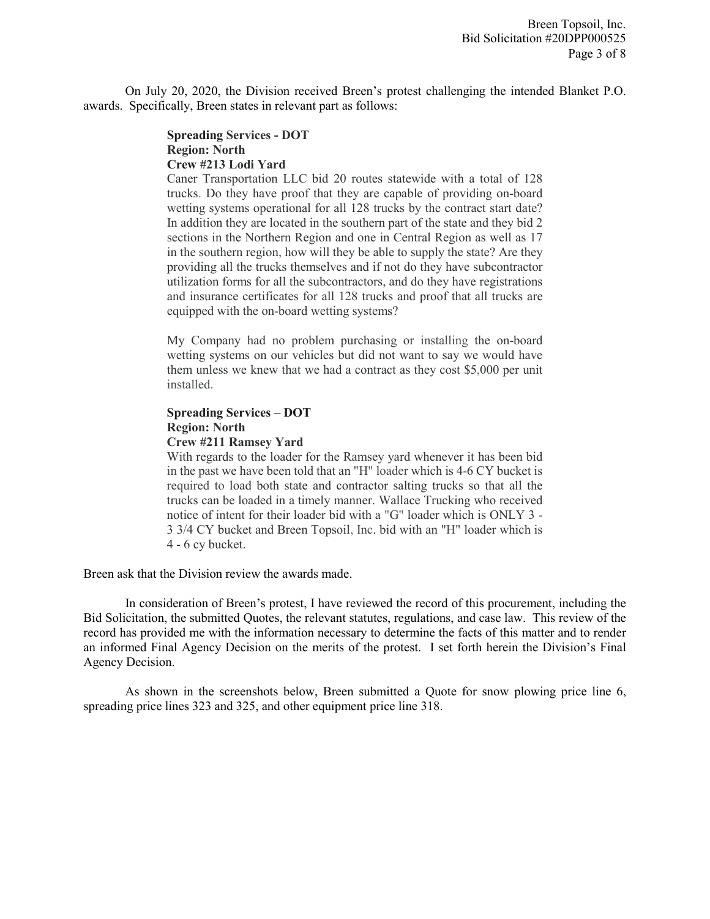On July 20, 2020, the Division received Breen's protest challenging the intended Blanket P.O. awards. Specifically, Breen states in relevant part as follows:

#### **Spreading Services - DOT Region: North Crew #213 Lodi Yard**

Caner Transportation LLC bid 20 routes statewide with a total of 128 trucks. Do they have proof that they are capable of providing on-board wetting systems operational for all 128 trucks by the contract start date? In addition they are located in the southern part of the state and they bid 2 sections in the Northern Region and one in Central Region as well as 17 in the southern region, how will they be able to supply the state? Are they providing all the trucks themselves and if not do they have subcontractor utilization forms for all the subcontractors, and do they have registrations and insurance certificates for all 128 trucks and proof that all trucks are equipped with the on-board wetting systems?

My Company had no problem purchasing or installing the on-board wetting systems on our vehicles but did not want to say we would have them unless we knew that we had a contract as they cost \$5,000 per unit installed.

#### **Spreading Services – DOT Region: North Crew #211 Ramsey Yard**

With regards to the loader for the Ramsey yard whenever it has been bid in the past we have been told that an "H" loader which is 4-6 CY bucket is required to load both state and contractor salting trucks so that all the trucks can be loaded in a timely manner. Wallace Trucking who received notice of intent for their loader bid with a "G" loader which is ONLY 3 - 3 3/4 CY bucket and Breen Topsoil, Inc. bid with an "H" loader which is 4 - 6 cy bucket.

Breen ask that the Division review the awards made.

In consideration of Breen's protest, I have reviewed the record of this procurement, including the Bid Solicitation, the submitted Quotes, the relevant statutes, regulations, and case law. This review of the record has provided me with the information necessary to determine the facts of this matter and to render an informed Final Agency Decision on the merits of the protest. I set forth herein the Division's Final Agency Decision.

As shown in the screenshots below, Breen submitted a Quote for snow plowing price line 6, spreading price lines 323 and 325, and other equipment price line 318.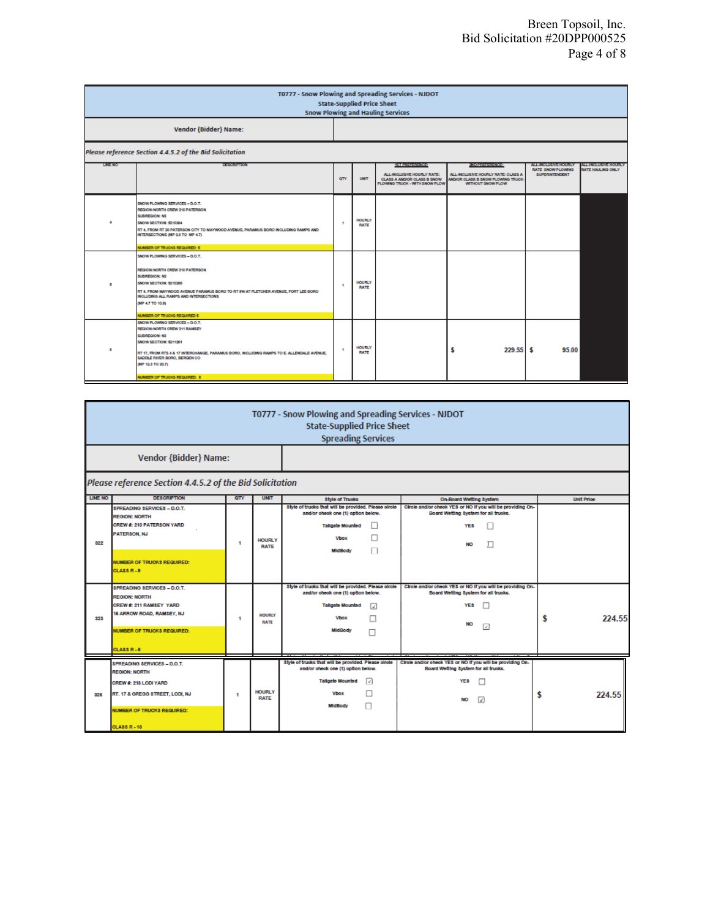| T0777 - Snow Plowing and Spreading Services - NJDOT<br><b>State-Supplied Price Sheet</b><br><b>Snow Plowing and Hauling Services</b> |                                                                                                                                                                                                                                                                                              |                |                              |                                                                                                                    |                                                                                                                         |                                                                    |                                                     |  |  |
|--------------------------------------------------------------------------------------------------------------------------------------|----------------------------------------------------------------------------------------------------------------------------------------------------------------------------------------------------------------------------------------------------------------------------------------------|----------------|------------------------------|--------------------------------------------------------------------------------------------------------------------|-------------------------------------------------------------------------------------------------------------------------|--------------------------------------------------------------------|-----------------------------------------------------|--|--|
| <b>Vendor {Bidder} Name:</b>                                                                                                         |                                                                                                                                                                                                                                                                                              |                |                              |                                                                                                                    |                                                                                                                         |                                                                    |                                                     |  |  |
| Please reference Section 4.4.5.2 of the Bid Solicitation                                                                             |                                                                                                                                                                                                                                                                                              |                |                              |                                                                                                                    |                                                                                                                         |                                                                    |                                                     |  |  |
| <b>LINE NO</b>                                                                                                                       | 1009089008                                                                                                                                                                                                                                                                                   | <b>GTY</b>     | <b>UNIT</b>                  | 50 M 30 M 30 M 30 M<br>ALL-INCLUSIVE HOURLY RATE:<br>CLASS A AND/OR CLASS B SNOW<br>PLOWING TRUCK - WITH SNOW PLOW | <b>Kindskeiserkrone</b><br>ALL-INCLUSIVE HOURLY RATE: CLASS A<br>MIDIOR CLASS B SNOW PLOWING TRUCK<br>WITHOUT SNOW PLOW | <b>ALL-INDIANATION AREA</b><br>RATE SNOW PLOWING<br>SUPERINTENDENT | A BELIVALIDAN A BROUGHY<br><b>RATE HALLING ONLY</b> |  |  |
|                                                                                                                                      | SNOW PLOWING SERVICES - D.O.T.<br>REGION: NORTH CREW 210 PATERSON<br>SUBREGION: N3<br>SNOW SECTION: 5210264<br>RT 4, FROM RT 20 PATERSON CITY TO MAYWOOD AVENUE, PARAMUS BORO INCLUDING RAMPS AND<br>INTERSECTIONS (MP 0.0 TO MP 4.7)<br>NUMBER OF TRUCKS REQUIRED: 5                        | ٠              | HOURLY<br><b>RATE</b>        |                                                                                                                    |                                                                                                                         |                                                                    |                                                     |  |  |
|                                                                                                                                      | SNOW PLOWING SERVICES - D.O.T.<br>REGION: NORTH CREW 210 PATERSON<br>SUBREGION: N3<br>SNOW SECTION: 5210265<br>RT 4, FROM MAYWOOD AVENUE PARAMUS BORO TO RT 9W AT FLETOHER AVENUE, FORT LEE BORO<br>INCLUDING ALL RAMPS AND INTERSECTIONS<br>(MP 4.7 TO 10.9)<br>NUMBER OF TRUCKS REQUIRED 5 | ٠              | <b>HOURLY</b><br><b>RATE</b> |                                                                                                                    |                                                                                                                         |                                                                    |                                                     |  |  |
|                                                                                                                                      | SNOW PLOWING SERVICES - D.O.T.<br>REGION: NORTH CREW 211 RAMSEY<br>SUBREGION: N3<br>SNOW SECTION: 5211261<br>RT 17, FROM RTS 4 & 17 INTERCHANGE, PARAMUS BORO, INCLUDING RAMPS TO E. ALLENDALE AVENUE.<br>SADOLE RIVER BORO, BERGEN CO.<br>(MP 12.3 TO 20.7)<br>NUMBER OF TRUCKS REQUIRED: 8 | $\overline{1}$ | <b>HOURLY</b><br><b>RATE</b> |                                                                                                                    | 229.55<br>S                                                                                                             | 95.00<br>s                                                         |                                                     |  |  |

| T0777 - Snow Plowing and Spreading Services - NJDOT<br><b>State-Supplied Price Sheet</b><br><b>Spreading Services</b> |                                                                                                                                                                                    |     |                              |                                                                                                                                                             |                                                                                                                                         |                   |  |  |  |  |
|-----------------------------------------------------------------------------------------------------------------------|------------------------------------------------------------------------------------------------------------------------------------------------------------------------------------|-----|------------------------------|-------------------------------------------------------------------------------------------------------------------------------------------------------------|-----------------------------------------------------------------------------------------------------------------------------------------|-------------------|--|--|--|--|
| <b>Vendor {Bidder} Name:</b>                                                                                          |                                                                                                                                                                                    |     |                              |                                                                                                                                                             |                                                                                                                                         |                   |  |  |  |  |
|                                                                                                                       | Please reference Section 4.4.5.2 of the Bid Solicitation                                                                                                                           |     |                              |                                                                                                                                                             |                                                                                                                                         |                   |  |  |  |  |
| LINE NO                                                                                                               | <b>DESCRIPTION</b>                                                                                                                                                                 | QTY | <b>UNIT</b>                  | <b>Style of Trucks</b>                                                                                                                                      | On-Board Wetting System                                                                                                                 | <b>Unit Price</b> |  |  |  |  |
| 322                                                                                                                   | SPREADING SERVICES - D.O.T.<br><b>REGION: NORTH</b><br>CREW #: 210 PATERSON YARD<br>PATERSON, NJ                                                                                   | 1   | <b>HOURLY</b><br><b>RATE</b> | Style of trucks that will be provided. Please circle<br>and/or oheok one (1) option below.<br><b>Tallgate Mounted</b><br><b>Vbox</b>                        | Circle and/or check YES or NO if you will be providing On-<br>Board Wetting System for all trucks.<br>YE <sub>8</sub><br>л<br><b>NO</b> |                   |  |  |  |  |
|                                                                                                                       | <b>NUMBER OF TRUCKS REQUIRED:</b><br><b>CLASS R-8</b>                                                                                                                              |     |                              | MidBody                                                                                                                                                     |                                                                                                                                         |                   |  |  |  |  |
| 323                                                                                                                   | SPREADING SERVICES - D.O.T.<br><b>REGION: NORTH</b><br>CREW #: 211 RAMSEY YARD<br>16 ARROW ROAD, RAMSEY, NJ<br><b>NUMBER OF TRUCKS REQUIRED:</b><br><b>CLASS R-8</b>               | 1   | <b>HOURLY</b><br><b>RATE</b> | Style of trucks that will be provided. Please circle<br>and/or oheok one (1) option below.<br><b>Tallgate Mounted</b><br>⊡<br><b>Vbox</b><br><b>MidBody</b> | Cirole and/or check YES or NO if you will be providing On-<br>Board Wetting System for all trucks.<br>YE <sub>8</sub><br>NO<br>ا⊽       | 224.55<br>S       |  |  |  |  |
| 325                                                                                                                   | <b>SPREADING SERVICES - D.O.T.</b><br><b>REGION: NORTH</b><br>CREW #: 213 LODI YARD<br>RT. 17 & GREGG STREET, LODI, NJ<br><b>NUMBER OF TRUCKS REQUIRED:</b><br><b>CLASS R - 10</b> | 1   | <b>HOURLY</b><br><b>RATE</b> | Style of trucks that will be provided. Please circle<br>and/or check one (1) option below.<br><b>Tallgate Mounted</b><br>o<br><b>Vbox</b><br><b>MidBody</b> | Circle and/or check YES or NO if you will be providing On-<br>Board Wetting System for all trucks.<br>YE <sub>8</sub><br>M              | 224.55<br>S       |  |  |  |  |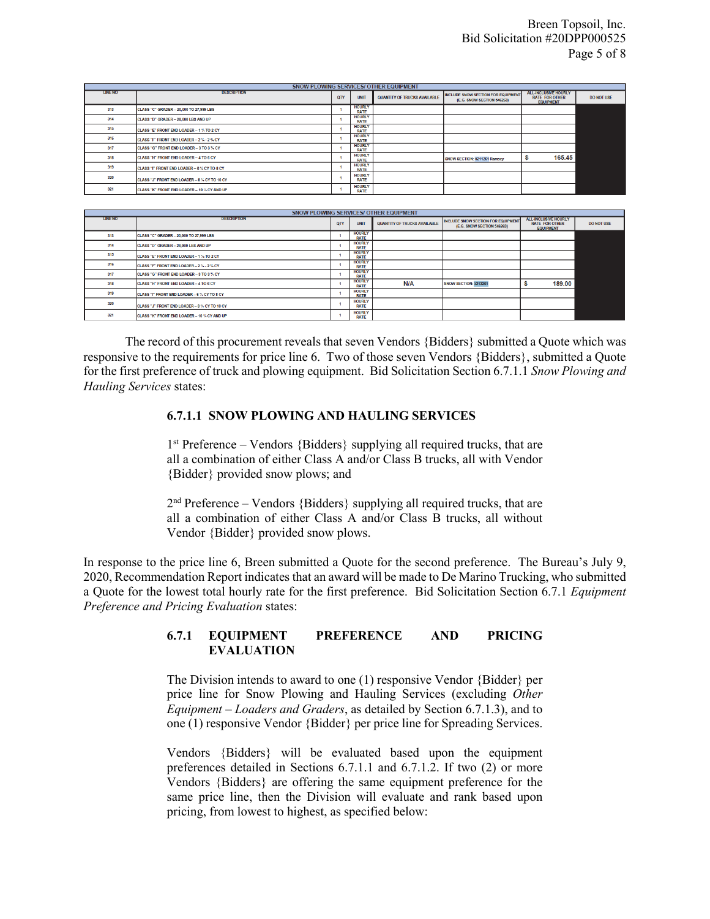| SNOW PLOWING SERVICES/ OTHER EQUIPMENT |                                                    |            |                              |                                     |                                                                         |                                                                          |                   |  |  |
|----------------------------------------|----------------------------------------------------|------------|------------------------------|-------------------------------------|-------------------------------------------------------------------------|--------------------------------------------------------------------------|-------------------|--|--|
| <b>LINE NO</b>                         | <b>DESCRIPTION</b>                                 | <b>QTY</b> | UNIT                         | <b>QUANTITY OF TRUCKS AVAILABLE</b> | <b>INCLUDE SNOW SECTION FOR EQUIPMENT</b><br>(E.G. SNOW SECTION 546263) | <b>ALL-INCLUSIVE HOURLY</b><br><b>RATE FOR OTHER</b><br><b>EQUIPMENT</b> | <b>DO NOT USE</b> |  |  |
| 313                                    | CLASS "C" GRADER - 20,000 TO 27,999 LBS            |            | <b>HOURLY</b><br><b>RATE</b> |                                     |                                                                         |                                                                          |                   |  |  |
| 314                                    | CLASS "D" GRADER - 28,000 LBS AND UP               |            | <b>HOURLY</b><br><b>RATE</b> |                                     |                                                                         |                                                                          |                   |  |  |
| 315                                    | <b>CLASS "E" FRONT END LOADER - 1 % TO 2 CY</b>    |            | <b>HOURLY</b><br><b>RATE</b> |                                     |                                                                         |                                                                          |                   |  |  |
| 316                                    | CLASS "F" FRONT END LOADER - 2 % - 2 % CY          |            | <b>HOURLY</b><br><b>RATE</b> |                                     |                                                                         |                                                                          |                   |  |  |
| 317                                    | CLASS "G" FRONT END LOADER - 3 TO 3 % CY           |            | <b>HOURLY</b><br><b>RATE</b> |                                     |                                                                         |                                                                          |                   |  |  |
| 318                                    | <b>CLASS "H" FRONT END LOADER - 4 TO 6 CY</b>      |            | <b>HOURLY</b><br><b>RATE</b> |                                     | SNOW SECTION: 5211261 Ramsey                                            | 165.45                                                                   |                   |  |  |
| 319                                    | <b>ICLASS "T FRONT END LOADER - 6 % CY TO 8 CY</b> |            | <b>HOURLY</b><br><b>RATE</b> |                                     |                                                                         |                                                                          |                   |  |  |
| 320                                    | CLASS "J" FRONT END LOADER - 8 % CY TO 10 CY       |            | <b>HOURLY</b><br><b>RATE</b> |                                     |                                                                         |                                                                          |                   |  |  |
| 321                                    | CLASS "K" FRONT END LOADER - 10 % CY AND UP        |            | <b>HOURLY</b><br><b>RATE</b> |                                     |                                                                         |                                                                          |                   |  |  |

| <b>SNOW PLOWING SERVICES/ OTHER EQUIPMENT</b> |                                                    |            |                              |                                     |                                                                         |                                                                          |                   |  |  |
|-----------------------------------------------|----------------------------------------------------|------------|------------------------------|-------------------------------------|-------------------------------------------------------------------------|--------------------------------------------------------------------------|-------------------|--|--|
| <b>LINE NO</b>                                | <b>DESCRIPTION</b>                                 | <b>QTY</b> | <b>UNIT</b>                  | <b>QUANTITY OF TRUCKS AVAILABLE</b> | <b>INCLUDE SNOW SECTION FOR EQUIPMENT</b><br>(E.G. SNOW SECTION 546263) | <b>ALL-INCLUSIVE HOURLY</b><br><b>RATE FOR OTHER</b><br><b>EQUIPMENT</b> | <b>DO NOT USE</b> |  |  |
| 313                                           | CLASS "C" GRADER - 20,000 TO 27,999 LBS            |            | <b>HOURLY</b><br><b>RATE</b> |                                     |                                                                         |                                                                          |                   |  |  |
| 314                                           | CLASS "D" GRADER - 28,000 LBS AND UP               |            | <b>HOURLY</b><br><b>RATE</b> |                                     |                                                                         |                                                                          |                   |  |  |
| 315                                           | CLASS "E" FRONT END LOADER - 1 % TO 2 CY           |            | <b>HOURLY</b><br><b>RATE</b> |                                     |                                                                         |                                                                          |                   |  |  |
| 316                                           | CLASS "F" FRONT END LOADER - 2 % - 2 % CY          |            | <b>HOURLY</b><br><b>RATE</b> |                                     |                                                                         |                                                                          |                   |  |  |
| 317                                           | <b>CLASS "G" FRONT END LOADER - 3 TO 3 % CY</b>    |            | <b>HOURLY</b><br><b>RATE</b> |                                     |                                                                         |                                                                          |                   |  |  |
| 318                                           | <b>ICLASS "H" FRONT END LOADER - 4 TO 6 CY</b>     |            | <b>HOURLY</b><br><b>RATE</b> | N/A                                 | SNOW SECTION: 5213261                                                   | 189.00                                                                   |                   |  |  |
| 319                                           | <b>CLASS "T" FRONT END LOADER - 6 % CY TO 8 CY</b> |            | <b>HOURLY</b><br>RATE        |                                     |                                                                         |                                                                          |                   |  |  |
| 320                                           | CLASS "J" FRONT END LOADER - 8 % CY TO 10 CY       |            | <b>HOURLY</b><br><b>RATE</b> |                                     |                                                                         |                                                                          |                   |  |  |
| 321                                           | CLASS "K" FRONT END LOADER - 10 % CY AND UP        |            | <b>HOURLY</b><br><b>RATE</b> |                                     |                                                                         |                                                                          |                   |  |  |

The record of this procurement reveals that seven Vendors {Bidders} submitted a Quote which was responsive to the requirements for price line 6. Two of those seven Vendors {Bidders}, submitted a Quote for the first preference of truck and plowing equipment. Bid Solicitation Section 6.7.1.1 *Snow Plowing and Hauling Services* states:

### **6.7.1.1 SNOW PLOWING AND HAULING SERVICES**

 $1<sup>st</sup>$  Preference – Vendors {Bidders} supplying all required trucks, that are all a combination of either Class A and/or Class B trucks, all with Vendor {Bidder} provided snow plows; and

 $2<sup>nd</sup>$  Preference – Vendors {Bidders} supplying all required trucks, that are all a combination of either Class A and/or Class B trucks, all without Vendor {Bidder} provided snow plows.

In response to the price line 6, Breen submitted a Quote for the second preference. The Bureau's July 9, 2020, Recommendation Report indicates that an award will be made to De Marino Trucking, who submitted a Quote for the lowest total hourly rate for the first preference. Bid Solicitation Section 6.7.1 *Equipment Preference and Pricing Evaluation* states:

## **6.7.1 EQUIPMENT PREFERENCE AND PRICING EVALUATION**

The Division intends to award to one (1) responsive Vendor {Bidder} per price line for Snow Plowing and Hauling Services (excluding *Other Equipment – Loaders and Graders*, as detailed by Section 6.7.1.3), and to one (1) responsive Vendor {Bidder} per price line for Spreading Services.

Vendors {Bidders} will be evaluated based upon the equipment preferences detailed in Sections 6.7.1.1 and 6.7.1.2. If two (2) or more Vendors {Bidders} are offering the same equipment preference for the same price line, then the Division will evaluate and rank based upon pricing, from lowest to highest, as specified below: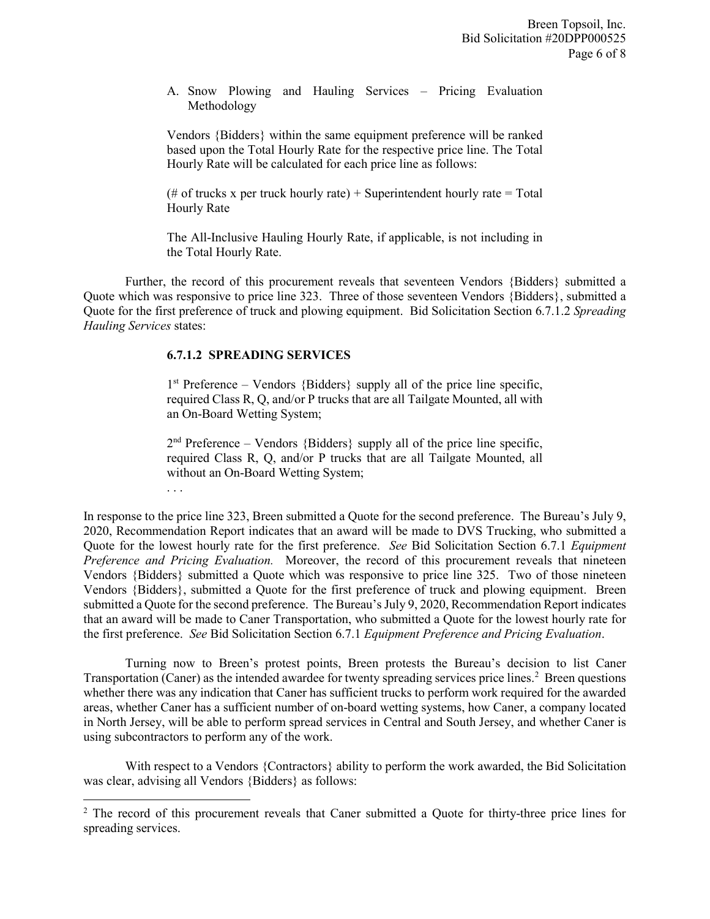A. Snow Plowing and Hauling Services – Pricing Evaluation Methodology

Vendors {Bidders} within the same equipment preference will be ranked based upon the Total Hourly Rate for the respective price line. The Total Hourly Rate will be calculated for each price line as follows:

(# of trucks x per truck hourly rate) + Superintendent hourly rate = Total Hourly Rate

The All-Inclusive Hauling Hourly Rate, if applicable, is not including in the Total Hourly Rate.

Further, the record of this procurement reveals that seventeen Vendors {Bidders} submitted a Quote which was responsive to price line 323. Three of those seventeen Vendors {Bidders}, submitted a Quote for the first preference of truck and plowing equipment. Bid Solicitation Section 6.7.1.2 *Spreading Hauling Services* states:

# **6.7.1.2 SPREADING SERVICES**

l

 $1<sup>st</sup>$  Preference – Vendors {Bidders} supply all of the price line specific, required Class R, Q, and/or P trucks that are all Tailgate Mounted, all with an On-Board Wetting System;

 $2<sup>nd</sup>$  Preference – Vendors {Bidders} supply all of the price line specific, required Class R, Q, and/or P trucks that are all Tailgate Mounted, all without an On-Board Wetting System; . . .

In response to the price line 323, Breen submitted a Quote for the second preference. The Bureau's July 9, 2020, Recommendation Report indicates that an award will be made to DVS Trucking, who submitted a Quote for the lowest hourly rate for the first preference. *See* Bid Solicitation Section 6.7.1 *Equipment Preference and Pricing Evaluation.* Moreover, the record of this procurement reveals that nineteen Vendors {Bidders} submitted a Quote which was responsive to price line 325. Two of those nineteen Vendors {Bidders}, submitted a Quote for the first preference of truck and plowing equipment. Breen submitted a Quote for the second preference. The Bureau's July 9, 2020, Recommendation Report indicates that an award will be made to Caner Transportation, who submitted a Quote for the lowest hourly rate for the first preference. *See* Bid Solicitation Section 6.7.1 *Equipment Preference and Pricing Evaluation*.

Turning now to Breen's protest points, Breen protests the Bureau's decision to list Caner Transportation (Caner) as the intended awardee for twenty spreading services price lines.<sup>2</sup> Breen questions whether there was any indication that Caner has sufficient trucks to perform work required for the awarded areas, whether Caner has a sufficient number of on-board wetting systems, how Caner, a company located in North Jersey, will be able to perform spread services in Central and South Jersey, and whether Caner is using subcontractors to perform any of the work.

With respect to a Vendors {Contractors} ability to perform the work awarded, the Bid Solicitation was clear, advising all Vendors {Bidders} as follows:

<span id="page-5-0"></span><sup>&</sup>lt;sup>2</sup> The record of this procurement reveals that Caner submitted a Quote for thirty-three price lines for spreading services.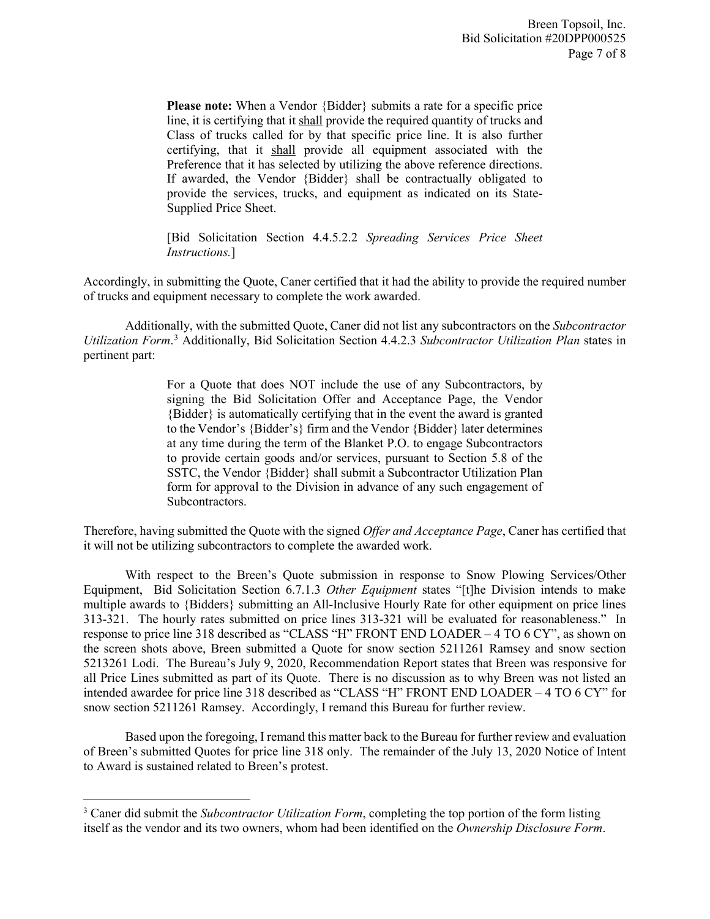**Please note:** When a Vendor {Bidder} submits a rate for a specific price line, it is certifying that it shall provide the required quantity of trucks and Class of trucks called for by that specific price line. It is also further certifying, that it shall provide all equipment associated with the Preference that it has selected by utilizing the above reference directions. If awarded, the Vendor {Bidder} shall be contractually obligated to provide the services, trucks, and equipment as indicated on its State-Supplied Price Sheet.

[Bid Solicitation Section 4.4.5.2.2 *Spreading Services Price Sheet Instructions.*]

Accordingly, in submitting the Quote, Caner certified that it had the ability to provide the required number of trucks and equipment necessary to complete the work awarded.

Additionally, with the submitted Quote, Caner did not list any subcontractors on the *Subcontractor Utilization Form*. [3](#page-6-0) Additionally, Bid Solicitation Section 4.4.2.3 *Subcontractor Utilization Plan* states in pertinent part:

> For a Quote that does NOT include the use of any Subcontractors, by signing the Bid Solicitation Offer and Acceptance Page, the Vendor {Bidder} is automatically certifying that in the event the award is granted to the Vendor's {Bidder's} firm and the Vendor {Bidder} later determines at any time during the term of the Blanket P.O. to engage Subcontractors to provide certain goods and/or services, pursuant to Section 5.8 of the SSTC, the Vendor {Bidder} shall submit a Subcontractor Utilization Plan form for approval to the Division in advance of any such engagement of Subcontractors.

Therefore, having submitted the Quote with the signed *Offer and Acceptance Page*, Caner has certified that it will not be utilizing subcontractors to complete the awarded work.

With respect to the Breen's Quote submission in response to Snow Plowing Services/Other Equipment, Bid Solicitation Section 6.7.1.3 *Other Equipment* states "[t]he Division intends to make multiple awards to {Bidders} submitting an All-Inclusive Hourly Rate for other equipment on price lines 313-321. The hourly rates submitted on price lines 313-321 will be evaluated for reasonableness." In response to price line 318 described as "CLASS "H" FRONT END LOADER – 4 TO 6 CY", as shown on the screen shots above, Breen submitted a Quote for snow section 5211261 Ramsey and snow section 5213261 Lodi. The Bureau's July 9, 2020, Recommendation Report states that Breen was responsive for all Price Lines submitted as part of its Quote. There is no discussion as to why Breen was not listed an intended awardee for price line 318 described as "CLASS "H" FRONT END LOADER – 4 TO 6 CY" for snow section 5211261 Ramsey. Accordingly, I remand this Bureau for further review.

Based upon the foregoing, I remand this matter back to the Bureau for further review and evaluation of Breen's submitted Quotes for price line 318 only. The remainder of the July 13, 2020 Notice of Intent to Award is sustained related to Breen's protest.

l

<span id="page-6-0"></span><sup>3</sup> Caner did submit the *Subcontractor Utilization Form*, completing the top portion of the form listing itself as the vendor and its two owners, whom had been identified on the *Ownership Disclosure Form*.